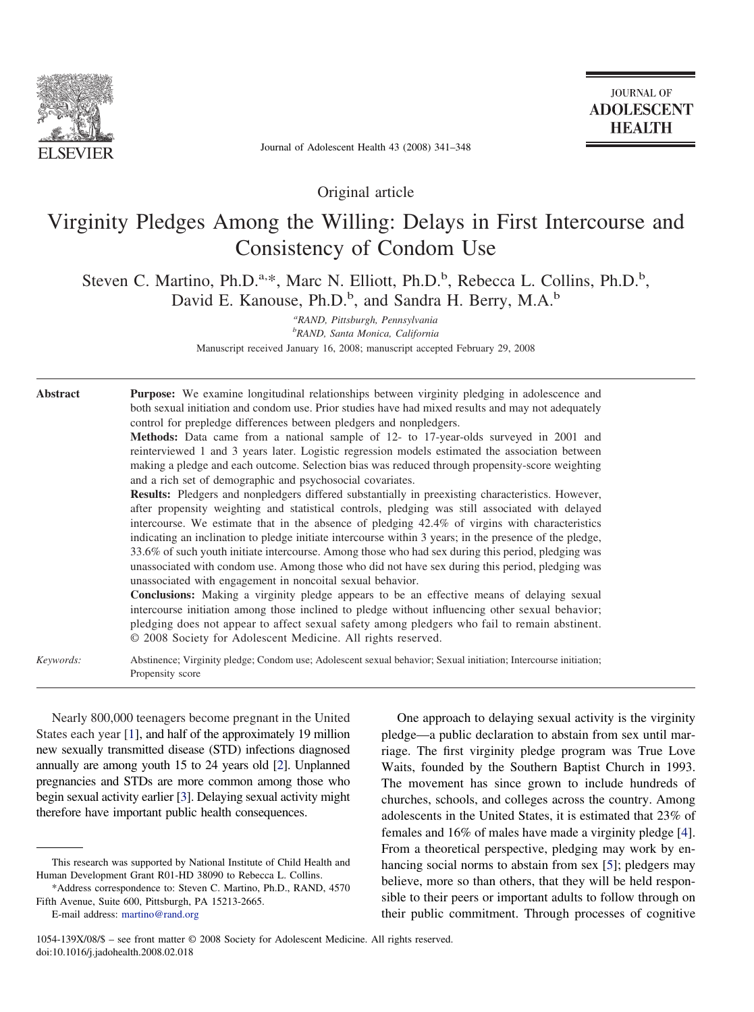

Journal of Adolescent Health 43 (2008) 341–348

**JOURNAL OF ADOLESCENT HEALTH** 

Original article

# Virginity Pledges Among the Willing: Delays in First Intercourse and Consistency of Condom Use

Steven C. Martino, Ph.D.<sup>a,\*</sup>, Marc N. Elliott, Ph.D.<sup>b</sup>, Rebecca L. Collins, Ph.D.<sup>b</sup>, David E. Kanouse, Ph.D.<sup>b</sup>, and Sandra H. Berry, M.A.<sup>b</sup>

> *a RAND, Pittsburgh, Pennsylvania b RAND, Santa Monica, California* Manuscript received January 16, 2008; manuscript accepted February 29, 2008

**Abstract Purpose:** We examine longitudinal relationships between virginity pledging in adolescence and both sexual initiation and condom use. Prior studies have had mixed results and may not adequately control for prepledge differences between pledgers and nonpledgers.

> **Methods:** Data came from a national sample of 12- to 17-year-olds surveyed in 2001 and reinterviewed 1 and 3 years later. Logistic regression models estimated the association between making a pledge and each outcome. Selection bias was reduced through propensity-score weighting and a rich set of demographic and psychosocial covariates.

> **Results:** Pledgers and nonpledgers differed substantially in preexisting characteristics. However, after propensity weighting and statistical controls, pledging was still associated with delayed intercourse. We estimate that in the absence of pledging 42.4% of virgins with characteristics indicating an inclination to pledge initiate intercourse within 3 years; in the presence of the pledge, 33.6% of such youth initiate intercourse. Among those who had sex during this period, pledging was unassociated with condom use. Among those who did not have sex during this period, pledging was unassociated with engagement in noncoital sexual behavior.

> **Conclusions:** Making a virginity pledge appears to be an effective means of delaying sexual intercourse initiation among those inclined to pledge without influencing other sexual behavior; pledging does not appear to affect sexual safety among pledgers who fail to remain abstinent. © 2008 Society for Adolescent Medicine. All rights reserved.

*Keywords:* Abstinence; Virginity pledge; Condom use; Adolescent sexual behavior; Sexual initiation; Intercourse initiation; Propensity score

Nearly 800,000 [tee](#page-7-0)nagers become pregnant in the United States each year [1], and half of the approximately 19 million new sexually transmitted disease (STD) infectio[ns](#page-7-0) diagnosed annually are among youth 15 to 24 years old [2]. Unplanned pregnancies and STDs are m[ore](#page-7-0) common among those who begin sexual activity earlier [3]. Delaying sexual activity might therefore have important public health consequences.

E-mail address: martino@rand.org

One approach to delaying sexual activity is the virginity pledge—a public declaration to abstain from sex until marriage. The first virginity pledge program was True Love Waits, founded by the Southern Baptist Church in 1993. The movement has since grown to include hundreds of churches, schools, and colleges across the country. Among adolescents in the United States, it is estimated that 23% o[f](#page-7-0) females and 16% of males have made a virginity pledge [4]. From a theoretical perspective, pledging m[ay](#page-7-0) work by enhancing social norms to abstain from sex [5]; pledgers may believe, more so than others, that they will be held responsible to their peers or important adults to follow through on their public commitment. Through processes of cognitive

This research was supported by National Institute of Child Health and Human Development Grant R01-HD 38090 to Rebecca L. Collins.

<sup>\*</sup>Address correspondence to: Steven C. Martino, Ph.D., RAND, 4570 Fifth Avenue, Suite 600, [Pittsburgh,](mailto:martino@rand.org) PA 15213-2665.

<sup>1054-139</sup>X/08/\$ – see front matter © 2008 Society for Adolescent Medicine. All rights reserved. doi:10.1016/j.jadohealth.2008.02.018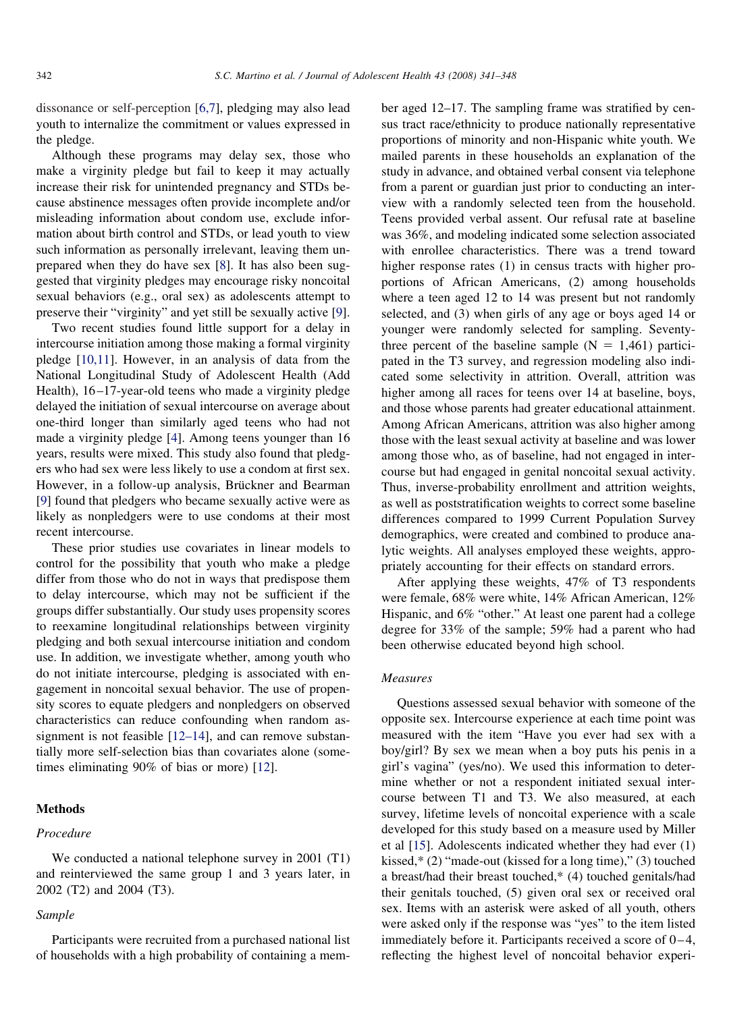dissonance or self-perception [6,[7\],](#page-7-0) pledging may also lead youth to internalize the commitment or values expressed in the pledge.

Although these programs may delay sex, those who make a virginity pledge but fail to keep it may actually increase their risk for unintended pregnancy and STDs because abstinence messages often provide incomplete and/or misleading information about condom use, exclude information about birth control and STDs, or lead youth to view such information as personally irrel[eva](#page-7-0)nt, leaving them unprepared when they do have sex [8]. It has also been suggested that virginity pledges may encourage risky noncoital sexual behaviors (e.g., oral sex) as adolescents attempt t[o](#page-7-0) preserve their "virginity" and yet still be sexually active [9].

Two recent studies found little support for a delay in intercourse [initia](#page-7-0)tion among those making a formal virginity pledge [10,11]. However, in an analysis of data from the National Longitudinal Study of Adolescent Health (Add Health), 16–17-year-old teens who made a virginity pledge delayed the initiation of sexual intercourse on average about one-third longer than sim[ila](#page-7-0)rly aged teens who had not made a virginity pledge [4]. Among teens younger than 16 years, results were mixed. This study also found that pledgers who had sex were less likely to use a condom at first sex. H[ow](#page-7-0)ever, in a follow-up analysis, Brückner and Bearman [9] found that pledgers who became sexually active were as likely as nonpledgers were to use condoms at their most recent intercourse.

These prior studies use covariates in linear models to control for the possibility that youth who make a pledge differ from those who do not in ways that predispose them to delay intercourse, which may not be sufficient if the groups differ substantially. Our study uses propensity scores to reexamine longitudinal relationships between virginity pledging and both sexual intercourse initiation and condom use. In addition, we investigate whether, among youth who do not initiate intercourse, pledging is associated with engagement in noncoital sexual behavior. The use of propensity scores to equate pledgers and nonpledgers on observed characteristics can reduce [confou](#page-7-0)nding when random assignment is not feasible [12–14], and can remove substantially more self-selection bias than covariat[es](#page-7-0) alone (sometimes eliminating 90% of bias or more) [12].

### **Methods**

# *Procedure*

We conducted a national telephone survey in 2001 (T1) and reinterviewed the same group 1 and 3 years later, in 2002 (T2) and 2004 (T3).

#### *Sample*

Participants were recruited from a purchased national list of households with a high probability of containing a member aged 12–17. The sampling frame was stratified by census tract race/ethnicity to produce nationally representative proportions of minority and non-Hispanic white youth. We mailed parents in these households an explanation of the study in advance, and obtained verbal consent via telephone from a parent or guardian just prior to conducting an interview with a randomly selected teen from the household. Teens provided verbal assent. Our refusal rate at baseline was 36%, and modeling indicated some selection associated with enrollee characteristics. There was a trend toward higher response rates (1) in census tracts with higher proportions of African Americans, (2) among households where a teen aged 12 to 14 was present but not randomly selected, and (3) when girls of any age or boys aged 14 or younger were randomly selected for sampling. Seventythree percent of the baseline sample  $(N = 1,461)$  participated in the T3 survey, and regression modeling also indicated some selectivity in attrition. Overall, attrition was higher among all races for teens over 14 at baseline, boys, and those whose parents had greater educational attainment. Among African Americans, attrition was also higher among those with the least sexual activity at baseline and was lower among those who, as of baseline, had not engaged in intercourse but had engaged in genital noncoital sexual activity. Thus, inverse-probability enrollment and attrition weights, as well as poststratification weights to correct some baseline differences compared to 1999 Current Population Survey demographics, were created and combined to produce analytic weights. All analyses employed these weights, appropriately accounting for their effects on standard errors.

After applying these weights, 47% of T3 respondents were female, 68% were white, 14% African American, 12% Hispanic, and 6% "other." At least one parent had a college degree for 33% of the sample; 59% had a parent who had been otherwise educated beyond high school.

## *Measures*

Questions assessed sexual behavior with someone of the opposite sex. Intercourse experience at each time point was measured with the item "Have you ever had sex with a boy/girl? By sex we mean when a boy puts his penis in a girl's vagina" (yes/no). We used this information to determine whether or not a respondent initiated sexual intercourse between T1 and T3. We also measured, at each survey, lifetime levels of noncoital experience with a scale develop[ed](#page-7-0) for this study based on a measure used by Miller et al [15]. Adolescents indicated whether they had ever (1) kissed,\* (2) "made-out (kissed for a long time)," (3) touched a breast/had their breast touched,\* (4) touched genitals/had their genitals touched, (5) given oral sex or received oral sex. Items with an asterisk were asked of all youth, others were asked only if the response was "yes" to the item listed immediately before it. Participants received a score of 0–4, reflecting the highest level of noncoital behavior experi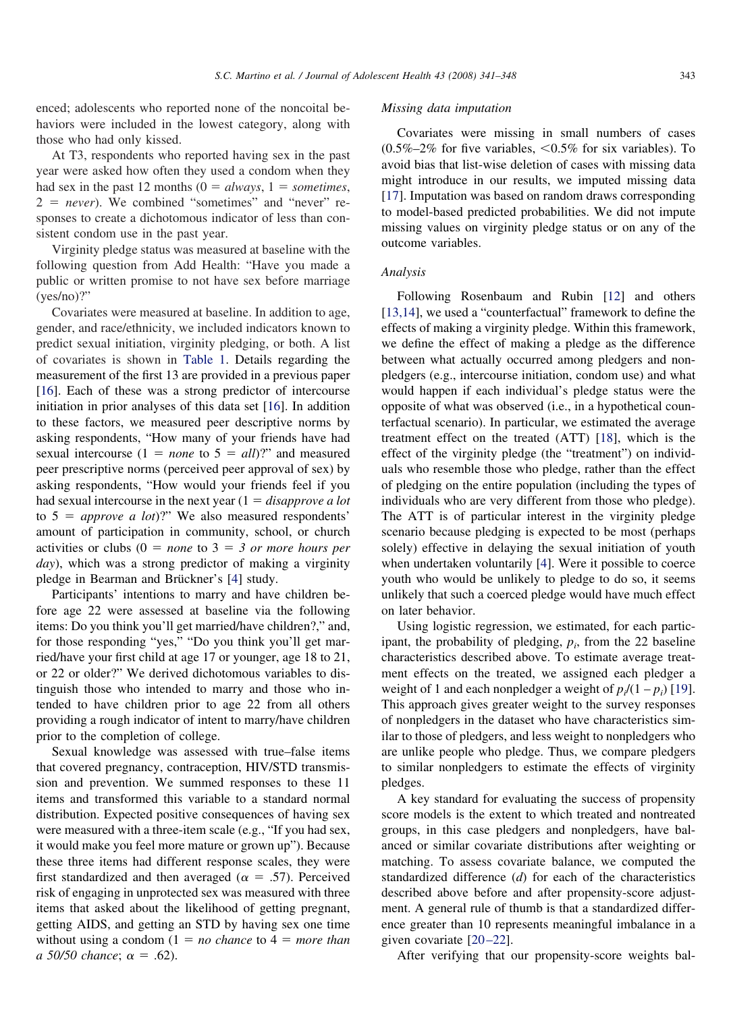enced; adolescents who reported none of the noncoital behaviors were included in the lowest category, along with those who had only kissed.

At T3, respondents who reported having sex in the past year were asked how often they used a condom when they had sex in the past 12 months ( $0 = always$ , 1 = *sometimes*,  $2 = never$ ). We combined "sometimes" and "never" responses to create a dichotomous indicator of less than consistent condom use in the past year.

Virginity pledge status was measured at baseline with the following question from Add Health: "Have you made a public or written promise to not have sex before marriage (yes/no)?"

Covariates were measured at baseline. In addition to age, gender, and race/ethnicity, we included indicators known to predict sexual initiation, virg[inity](#page-3-0) pledging, or both. A list of covariates is shown in Table 1. Details regarding the m[easu](#page-7-0)rement of the first 13 are provided in a previous paper [16]. Each of these was a strong predictor [of](#page-7-0) intercourse initiation in prior analyses of this data set [16]. In addition to these factors, we measured peer descriptive norms by asking respondents, "How many of your friends have had sexual intercourse  $(1 = none$  to  $5 = all$ ?" and measured peer prescriptive norms (perceived peer approval of sex) by asking respondents, "How would your friends feel if you had sexual intercourse in the next year  $(1 - *disapprove* a lot)$ to  $5 =$  *approve a lot*)?" We also measured respondents' amount of participation in community, school, or church activities or clubs  $(0 = none$  to  $3 = 3$  *or more hours per day*), which was a strong predictor o[f](#page-7-0) making a virginity pledge in Bearman and Brückner's [4] study.

Participants' intentions to marry and have children before age 22 were assessed at baseline via the following items: Do you think you'll get married/have children?," and, for those responding "yes," "Do you think you'll get married/have your first child at age 17 or younger, age 18 to 21, or 22 or older?" We derived dichotomous variables to distinguish those who intended to marry and those who intended to have children prior to age 22 from all others providing a rough indicator of intent to marry/have children prior to the completion of college.

Sexual knowledge was assessed with true–false items that covered pregnancy, contraception, HIV/STD transmission and prevention. We summed responses to these 11 items and transformed this variable to a standard normal distribution. Expected positive consequences of having sex were measured with a three-item scale (e.g., "If you had sex, it would make you feel more mature or grown up"). Because these three items had different response scales, they were first standardized and then averaged ( $\alpha = .57$ ). Perceived risk of engaging in unprotected sex was measured with three items that asked about the likelihood of getting pregnant, getting AIDS, and getting an STD by having sex one time without using a condom  $(1 = no \text{ chance to } 4 = more \text{ than})$ *a*  $50/50$  *chance*;  $\alpha = .62$ ).

#### *Missing data imputation*

Covariates were missing in small numbers of cases  $(0.5\% - 2\%$  for five variables,  $\leq 0.5\%$  for six variables). To avoid bias that list-wise deletion of cases with missing data mi[ght](#page-7-0) introduce in our results, we imputed missing data [17]. Imputation was based on random draws corresponding to model-based predicted probabilities. We did not impute missing values on virginity pledge status or on any of the outcome variables.

## *Analysis*

[Follow](#page-7-0)ing Rosenbaum and Rubin [1[2\]](#page-7-0) and others [13,14], we used a "counterfactual" framework to define the effects of making a virginity pledge. Within this framework, we define the effect of making a pledge as the difference between what actually occurred among pledgers and nonpledgers (e.g., intercourse initiation, condom use) and what would happen if each individual's pledge status were the opposite of what was observed (i.e., in a hypothetical counterfactual scenario). In particular, we estim[ated](#page-7-0) the average treatment effect on the treated (ATT) [18], which is the effect of the virginity pledge (the "treatment") on individuals who resemble those who pledge, rather than the effect of pledging on the entire population (including the types of individuals who are very different from those who pledge). The ATT is of particular interest in the virginity pledge scenario because pledging is expected to be most (perhaps solely) effective in delaying th[e](#page-7-0) sexual initiation of youth when undertaken voluntarily [4]. Were it possible to coerce youth who would be unlikely to pledge to do so, it seems unlikely that such a coerced pledge would have much effect on later behavior.

Using logistic regression, we estimated, for each participant, the probability of pledging,  $p_i$ , from the 22 baseline characteristics described above. To estimate average treatment effects on the treated, we assigned each pledger [a](#page-7-0) weight of 1 and each nonpledger a weight of  $p_i/(1-p_i)$  [19]. This approach gives greater weight to the survey responses of nonpledgers in the dataset who have characteristics similar to those of pledgers, and less weight to nonpledgers who are unlike people who pledge. Thus, we compare pledgers to similar nonpledgers to estimate the effects of virginity pledges.

A key standard for evaluating the success of propensity score models is the extent to which treated and nontreated groups, in this case pledgers and nonpledgers, have balanced or similar covariate distributions after weighting or matching. To assess covariate balance, we computed the standardized difference (*d*) for each of the characteristics described above before and after propensity-score adjustment. A general rule of thumb is that a standardized difference greater than 10 [repre](#page-7-0)sents meaningful imbalance in a given covariate [20–22].

After verifying that our propensity-score weights bal-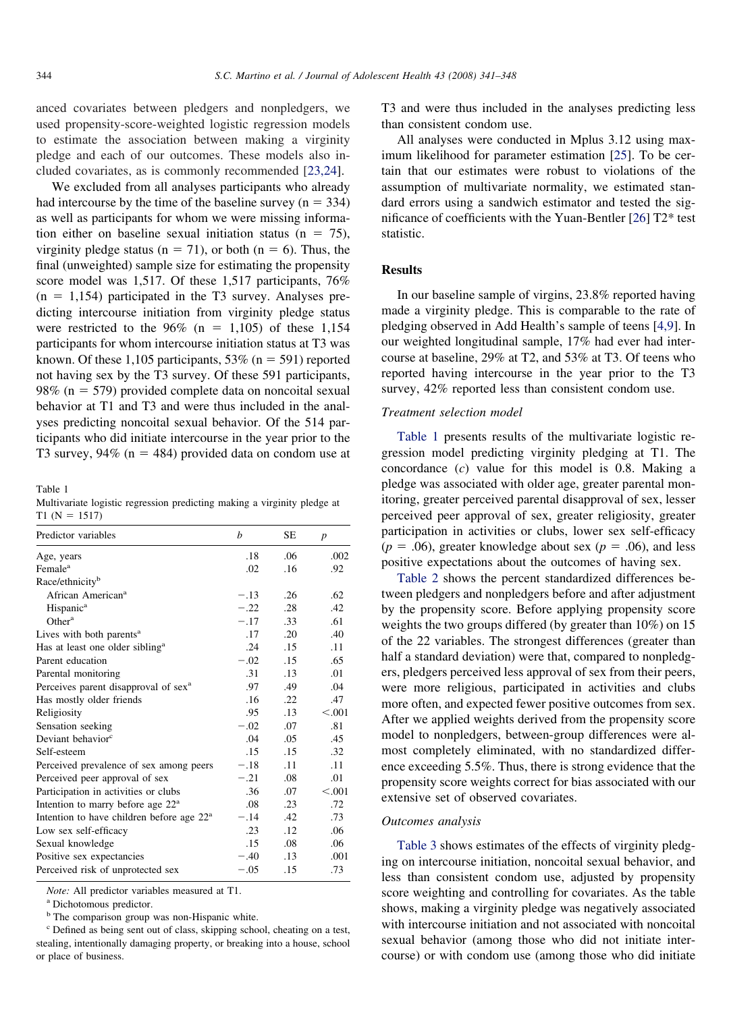<span id="page-3-0"></span>anced covariates between pledgers and nonpledgers, we used propensity-score-weighted logistic regression models to estimate the association between making a virginity pledge and each of our outcomes. These models also [in](#page-7-0)cluded covariates, as is commonly recommended [23,24].

We excluded from all analyses participants who already had intercourse by the time of the baseline survey  $(n = 334)$ as well as participants for whom we were missing information either on baseline sexual initiation status ( $n = 75$ ), virginity pledge status ( $n = 71$ ), or both ( $n = 6$ ). Thus, the final (unweighted) sample size for estimating the propensity score model was 1,517. Of these 1,517 participants, 76%  $(n = 1,154)$  participated in the T3 survey. Analyses predicting intercourse initiation from virginity pledge status were restricted to the 96% (n = 1,105) of these 1,154 participants for whom intercourse initiation status at T3 was known. Of these 1,105 participants,  $53\%$  (n = 591) reported not having sex by the T3 survey. Of these 591 participants, 98% ( $n = 579$ ) provided complete data on noncoital sexual behavior at T1 and T3 and were thus included in the analyses predicting noncoital sexual behavior. Of the 514 participants who did initiate intercourse in the year prior to the T3 survey,  $94\%$  (n = 484) provided data on condom use at

Table 1

Multivariate logistic regression predicting making a virginity pledge at  $T1 (N = 1517)$ 

| Predictor variables                                   | b      | <b>SE</b> | $\boldsymbol{p}$ |
|-------------------------------------------------------|--------|-----------|------------------|
| Age, years                                            | .18    | .06       | .002             |
| Female <sup>a</sup>                                   | .02    | .16       | .92              |
| Race/ethnicity <sup>b</sup>                           |        |           |                  |
| African American <sup>a</sup>                         | $-.13$ | .26       | .62              |
| Hispanic <sup>a</sup>                                 | $-.22$ | .28       | .42              |
| Other <sup>a</sup>                                    | $-.17$ | .33       | .61              |
| Lives with both parents <sup>a</sup>                  | .17    | .20       | .40              |
| Has at least one older sibling <sup>a</sup>           | .24    | .15       | .11              |
| Parent education                                      | $-.02$ | .15       | .65              |
| Parental monitoring                                   | .31    | .13       | .01              |
| Perceives parent disapproval of sex <sup>a</sup>      | .97    | .49       | .04              |
| Has mostly older friends                              | .16    | .22       | .47              |
| Religiosity                                           | .95    | .13       | < 0.001          |
| Sensation seeking                                     | $-.02$ | .07       | .81              |
| Deviant behavior <sup>e</sup>                         | .04    | .05       | .45              |
| Self-esteem                                           | .15    | .15       | .32              |
| Perceived prevalence of sex among peers               | $-.18$ | .11       | .11              |
| Perceived peer approval of sex                        | $-.21$ | .08       | .01              |
| Participation in activities or clubs                  | .36    | .07       | < 0.001          |
| Intention to marry before age $22^{\circ}$            | .08    | .23       | .72              |
| Intention to have children before age 22 <sup>a</sup> | $-.14$ | .42       | .73              |
| Low sex self-efficacy                                 | .23    | .12       | .06              |
| Sexual knowledge                                      | .15    | .08       | .06              |
| Positive sex expectancies                             | $-.40$ | .13       | .001             |
| Perceived risk of unprotected sex                     | $-.05$ | .15       | .73              |

*Note:* All predictor variables measured at T1.

<sup>a</sup> Dichotomous predictor.

<sup>b</sup> The comparison group was non-Hispanic white.

<sup>c</sup> Defined as being sent out of class, skipping school, cheating on a test, stealing, intentionally damaging property, or breaking into a house, school or place of business.

T3 and were thus included in the analyses predicting less than consistent condom use.

All analyses were conducted in Mplus 3.[12](#page-7-0) using maximum likelihood for parameter estimation [25]. To be certain that our estimates were robust to violations of the assumption of multivariate normality, we estimated standard errors using a sandwich estimator and test[ed](#page-7-0) the significance of coefficients with the Yuan-Bentler [26] T2\* test statistic.

#### **Results**

In our baseline sample of virgins, 23.8% reported having made a virginity pledge. This is comparable to the r[ate](#page-7-0) of pledging observed in Add Health's sample of teens [4,9]. In our weighted longitudinal sample, 17% had ever had intercourse at baseline, 29% at T2, and 53% at T3. Of teens who reported having intercourse in the year prior to the T3 survey,  $42\%$  reported less than consistent condom use.

#### *Treatment selection model*

Table 1 presents results of the multivariate logistic regression model predicting virginity pledging at T1. The concordance (*c*) value for this model is 0.8. Making a pledge was associated with older age, greater parental monitoring, greater perceived parental disapproval of sex, lesser perceived peer approval of sex, greater religiosity, greater participation in activities or clubs, lower sex self-efficacy  $(p = .06)$ , greater knowledge about sex  $(p = .06)$ , and less positive [expe](#page-4-0)ctations about the outcomes of having sex.

Table 2 shows the percent standardized differences between pledgers and nonpledgers before and after adjustment by the propensity score. Before applying propensity score weights the two groups differed (by greater than 10%) on 15 of the 22 variables. The strongest differences (greater than half a standard deviation) were that, compared to nonpledgers, pledgers perceived less approval of sex from their peers, were more religious, participated in activities and clubs more often, and expected fewer positive outcomes from sex. After we applied weights derived from the propensity score model to nonpledgers, between-group differences were almost completely eliminated, with no standardized difference exceeding 5.5%. Thus, there is strong evidence that the propensity score weights correct for bias associated with our extensive set of observed covariates.

# *Outc[omes](#page-5-0) analysis*

Table 3 shows estimates of the effects of virginity pledging on intercourse initiation, noncoital sexual behavior, and less than consistent condom use, adjusted by propensity score weighting and controlling for covariates. As the table shows, making a virginity pledge was negatively associated with intercourse initiation and not associated with noncoital sexual behavior (among those who did not initiate intercourse) or with condom use (among those who did initiate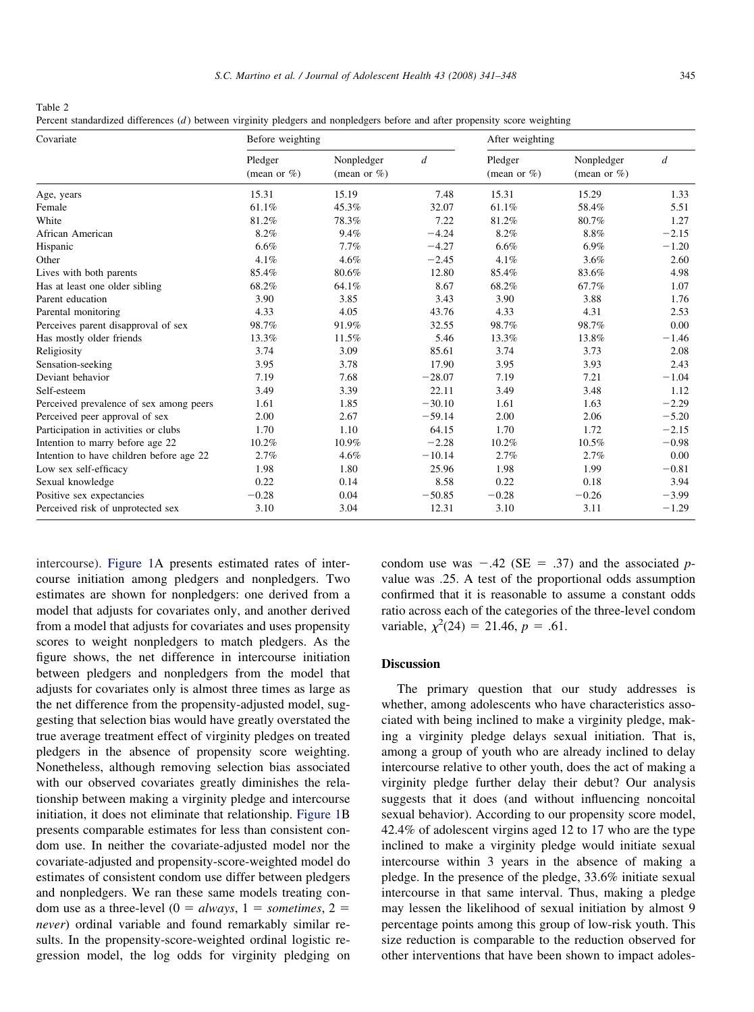<span id="page-4-0"></span>Table 2

Percent standardized differences (*d*) between virginity pledgers and nonpledgers before and after propensity score weighting

| Covariate                                | Before weighting           |                               |                  | After weighting            |                               |         |  |
|------------------------------------------|----------------------------|-------------------------------|------------------|----------------------------|-------------------------------|---------|--|
|                                          | Pledger<br>(mean or $\%$ ) | Nonpledger<br>(mean or $\%$ ) | $\boldsymbol{d}$ | Pledger<br>(mean or $\%$ ) | Nonpledger<br>(mean or $\%$ ) | d       |  |
| Age, years                               | 15.31                      | 15.19                         | 7.48             | 15.31                      | 15.29                         | 1.33    |  |
| Female                                   | 61.1%                      | 45.3%                         | 32.07            | 61.1%                      | 58.4%                         | 5.51    |  |
| White                                    | 81.2%                      | 78.3%                         | 7.22             | 81.2%                      | 80.7%                         | 1.27    |  |
| African American                         | 8.2%                       | 9.4%                          | $-4.24$          | 8.2%                       | $8.8\%$                       | $-2.15$ |  |
| Hispanic                                 | 6.6%                       | 7.7%                          | $-4.27$          | 6.6%                       | 6.9%                          | $-1.20$ |  |
| Other                                    | 4.1%                       | 4.6%                          | $-2.45$          | 4.1%                       | 3.6%                          | 2.60    |  |
| Lives with both parents                  | 85.4%                      | 80.6%                         | 12.80            | 85.4%                      | 83.6%                         | 4.98    |  |
| Has at least one older sibling           | 68.2%                      | 64.1%                         | 8.67             | 68.2%                      | 67.7%                         | 1.07    |  |
| Parent education                         | 3.90                       | 3.85                          | 3.43             | 3.90                       | 3.88                          | 1.76    |  |
| Parental monitoring                      | 4.33                       | 4.05                          | 43.76            | 4.33                       | 4.31                          | 2.53    |  |
| Perceives parent disapproval of sex      | 98.7%                      | 91.9%                         | 32.55            | 98.7%                      | 98.7%                         | 0.00    |  |
| Has mostly older friends                 | 13.3%                      | 11.5%                         | 5.46             | 13.3%                      | 13.8%                         | $-1.46$ |  |
| Religiosity                              | 3.74                       | 3.09                          | 85.61            | 3.74                       | 3.73                          | 2.08    |  |
| Sensation-seeking                        | 3.95                       | 3.78                          | 17.90            | 3.95                       | 3.93                          | 2.43    |  |
| Deviant behavior                         | 7.19                       | 7.68                          | $-28.07$         | 7.19                       | 7.21                          | $-1.04$ |  |
| Self-esteem                              | 3.49                       | 3.39                          | 22.11            | 3.49                       | 3.48                          | 1.12    |  |
| Perceived prevalence of sex among peers  | 1.61                       | 1.85                          | $-30.10$         | 1.61                       | 1.63                          | $-2.29$ |  |
| Perceived peer approval of sex           | 2.00                       | 2.67                          | $-59.14$         | 2.00                       | 2.06                          | $-5.20$ |  |
| Participation in activities or clubs     | 1.70                       | 1.10                          | 64.15            | 1.70                       | 1.72                          | $-2.15$ |  |
| Intention to marry before age 22         | 10.2%                      | 10.9%                         | $-2.28$          | 10.2%                      | 10.5%                         | $-0.98$ |  |
| Intention to have children before age 22 | 2.7%                       | 4.6%                          | $-10.14$         | 2.7%                       | 2.7%                          | 0.00    |  |
| Low sex self-efficacy                    | 1.98                       | 1.80                          | 25.96            | 1.98                       | 1.99                          | $-0.81$ |  |
| Sexual knowledge                         | 0.22                       | 0.14                          | 8.58             | 0.22                       | 0.18                          | 3.94    |  |
| Positive sex expectancies                | $-0.28$                    | 0.04                          | $-50.85$         | $-0.28$                    | $-0.26$                       | $-3.99$ |  |
| Perceived risk of unprotected sex        | 3.10                       | 3.04                          | 12.31            | 3.10                       | 3.11                          | $-1.29$ |  |

intercourse). F[igure](#page-6-0) 1A presents estimated rates of intercourse initiation among pledgers and nonpledgers. Two estimates are shown for nonpledgers: one derived from a model that adjusts for covariates only, and another derived from a model that adjusts for covariates and uses propensity scores to weight nonpledgers to match pledgers. As the figure shows, the net difference in intercourse initiation between pledgers and nonpledgers from the model that adjusts for covariates only is almost three times as large as the net difference from the propensity-adjusted model, suggesting that selection bias would have greatly overstated the true average treatment effect of virginity pledges on treated pledgers in the absence of propensity score weighting. Nonetheless, although removing selection bias associated with our observed covariates greatly diminishes the relationship between making a virginity pledge and int[ercourse](#page-6-0) initiation, it does not eliminate that relationship. Figure 1B presents comparable estimates for less than consistent condom use. In neither the covariate-adjusted model nor the covariate-adjusted and propensity-score-weighted model do estimates of consistent condom use differ between pledgers and nonpledgers. We ran these same models treating condom use as a three-level ( $0 = always$ ,  $1 = sometimes$ ,  $2 =$ *never*) ordinal variable and found remarkably similar results. In the propensity-score-weighted ordinal logistic regression model, the log odds for virginity pledging on condom use was  $-.42$  (SE = .37) and the associated *p*value was .25. A test of the proportional odds assumption confirmed that it is reasonable to assume a constant odds ratio across each of the categories of the three-level condom variable,  $\chi^2(24) = 21.46$ ,  $p = .61$ .

# **Discussion**

The primary question that our study addresses is whether, among adolescents who have characteristics associated with being inclined to make a virginity pledge, making a virginity pledge delays sexual initiation. That is, among a group of youth who are already inclined to delay intercourse relative to other youth, does the act of making a virginity pledge further delay their debut? Our analysis suggests that it does (and without influencing noncoital sexual behavior). According to our propensity score model, 42.4% of adolescent virgins aged 12 to 17 who are the type inclined to make a virginity pledge would initiate sexual intercourse within 3 years in the absence of making a pledge. In the presence of the pledge, 33.6% initiate sexual intercourse in that same interval. Thus, making a pledge may lessen the likelihood of sexual initiation by almost 9 percentage points among this group of low-risk youth. This size reduction is comparable to the reduction observed for other interventions that have been shown to impact adoles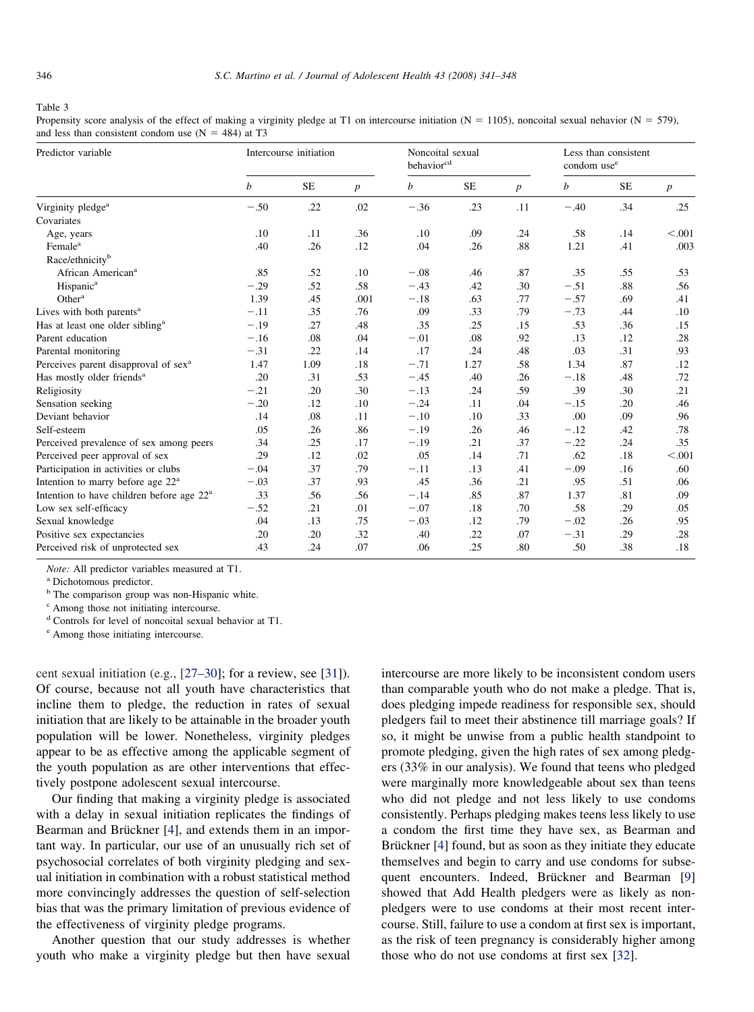<span id="page-5-0"></span>Table 3

Propensity score analysis of the effect of making a virginity pledge at T1 on intercourse initiation (N = 1105), noncoital sexual nehavior (N = 579), and less than consistent condom use  $(N = 484)$  at T3

| Predictor variable                               | Intercourse initiation |           | Noncoital sexual<br>behavior <sup>cd</sup> |        |           | Less than consistent<br>condom use <sup>e</sup> |        |           |                  |
|--------------------------------------------------|------------------------|-----------|--------------------------------------------|--------|-----------|-------------------------------------------------|--------|-----------|------------------|
|                                                  | b                      | <b>SE</b> | $\boldsymbol{p}$                           | b      | <b>SE</b> | $\boldsymbol{p}$                                | b      | <b>SE</b> | $\boldsymbol{p}$ |
| Virginity pledge <sup>a</sup>                    | $-.50$                 | .22       | .02                                        | $-.36$ | .23       | .11                                             | $-.40$ | .34       | .25              |
| Covariates                                       |                        |           |                                            |        |           |                                                 |        |           |                  |
| Age, years                                       | .10                    | .11       | .36                                        | .10    | .09       | .24                                             | .58    | .14       | < 0.001          |
| Female <sup>a</sup>                              | .40                    | .26       | .12                                        | .04    | .26       | .88                                             | 1.21   | .41       | .003             |
| Race/ethnicity <sup>b</sup>                      |                        |           |                                            |        |           |                                                 |        |           |                  |
| African American <sup>a</sup>                    | .85                    | .52       | .10                                        | $-.08$ | .46       | .87                                             | .35    | .55       | .53              |
| Hispanic <sup>a</sup>                            | $-.29$                 | .52       | .58                                        | $-.43$ | .42       | .30                                             | $-.51$ | .88       | .56              |
| Other <sup>a</sup>                               | 1.39                   | .45       | .001                                       | $-.18$ | .63       | .77                                             | $-.57$ | .69       | .41              |
| Lives with both parents <sup>a</sup>             | $-.11$                 | .35       | .76                                        | .09    | .33       | .79                                             | $-.73$ | .44       | .10              |
| Has at least one older sibling <sup>a</sup>      | $-.19$                 | .27       | .48                                        | .35    | .25       | .15                                             | .53    | .36       | .15              |
| Parent education                                 | $-.16$                 | .08       | .04                                        | $-.01$ | .08       | .92                                             | .13    | .12       | .28              |
| Parental monitoring                              | $-.31$                 | .22       | .14                                        | .17    | .24       | .48                                             | .03    | .31       | .93              |
| Perceives parent disapproval of sex <sup>a</sup> | 1.47                   | 1.09      | .18                                        | $-.71$ | 1.27      | .58                                             | 1.34   | .87       | .12              |
| Has mostly older friends <sup>a</sup>            | .20                    | .31       | .53                                        | $-.45$ | .40       | .26                                             | $-.18$ | .48       | .72              |
| Religiosity                                      | $-.21$                 | .20       | .30                                        | $-.13$ | .24       | .59                                             | .39    | .30       | .21              |
| Sensation seeking                                | $-.20$                 | .12       | .10                                        | $-.24$ | .11       | .04                                             | $-.15$ | .20       | .46              |
| Deviant behavior                                 | .14                    | .08       | .11                                        | $-.10$ | .10       | .33                                             | .00    | .09       | .96              |
| Self-esteem                                      | .05                    | .26       | .86                                        | $-.19$ | .26       | .46                                             | $-.12$ | .42       | .78              |
| Perceived prevalence of sex among peers          | .34                    | .25       | .17                                        | $-.19$ | .21       | .37                                             | $-.22$ | .24       | .35              |
| Perceived peer approval of sex                   | .29                    | .12       | .02                                        | .05    | .14       | .71                                             | .62    | .18       | < .001           |
| Participation in activities or clubs             | $-.04$                 | .37       | .79                                        | $-.11$ | .13       | .41                                             | $-.09$ | .16       | .60              |
| Intention to marry before age 22 <sup>a</sup>    | $-.03$                 | .37       | .93                                        | .45    | .36       | .21                                             | .95    | .51       | .06              |
| Intention to have children before age $22a$      | .33                    | .56       | .56                                        | $-.14$ | .85       | .87                                             | 1.37   | .81       | .09              |
| Low sex self-efficacy                            | $-.52$                 | .21       | .01                                        | $-.07$ | .18       | .70                                             | .58    | .29       | .05              |
| Sexual knowledge                                 | .04                    | .13       | .75                                        | $-.03$ | .12       | .79                                             | $-.02$ | .26       | .95              |
| Positive sex expectancies                        | .20                    | .20       | .32                                        | .40    | .22       | .07                                             | $-.31$ | .29       | .28              |
| Perceived risk of unprotected sex                | .43                    | .24       | .07                                        | .06    | .25       | .80                                             | .50    | .38       | .18              |

*Note:* All predictor variables measured at T1.

<sup>a</sup> Dichotomous predictor.

<sup>b</sup> The comparison group was non-Hispanic white.

<sup>c</sup> Among those not initiating intercourse.

<sup>d</sup> Controls for level of noncoital sexual behavior at T1.

<sup>e</sup> Among those initiating intercourse.

cent sexual initiation (e.g., [2[7–30\];](#page-7-0) for a review, see [3[1\]\).](#page-7-0) Of course, because not all youth have characteristics that incline them to pledge, the reduction in rates of sexual initiation that are likely to be attainable in the broader youth population will be lower. Nonetheless, virginity pledges appear to be as effective among the applicable segment of the youth population as are other interventions that effectively postpone adolescent sexual intercourse.

Our finding that making a virginity pledge is associated with a delay in sexual ini[tia](#page-7-0)tion replicates the findings of Bearman and Brückner [4], and extends them in an important way. In particular, our use of an unusually rich set of psychosocial correlates of both virginity pledging and sexual initiation in combination with a robust statistical method more convincingly addresses the question of self-selection bias that was the primary limitation of previous evidence of the effectiveness of virginity pledge programs.

Another question that our study addresses is whether youth who make a virginity pledge but then have sexual intercourse are more likely to be inconsistent condom users than comparable youth who do not make a pledge. That is, does pledging impede readiness for responsible sex, should pledgers fail to meet their abstinence till marriage goals? If so, it might be unwise from a public health standpoint to promote pledging, given the high rates of sex among pledgers (33% in our analysis). We found that teens who pledged were marginally more knowledgeable about sex than teens who did not pledge and not less likely to use condoms consistently. Perhaps pledging makes teens less likely to use a condom t[he](#page-7-0) first time they have sex, as Bearman and Brückner [4] found, but as soon as they initiate they educate themselves and begin to carry and use condoms for subsequent encounters. Indeed, Brückner and Bearman [9] showed that Add Health pledgers were as likely as nonpledgers were to use condoms at their most recent intercourse. Still, failure to use a condom at first sex is important, as the risk of teen pregnancy is considerably [high](#page-7-0)er among those who do not use condoms at first sex [32].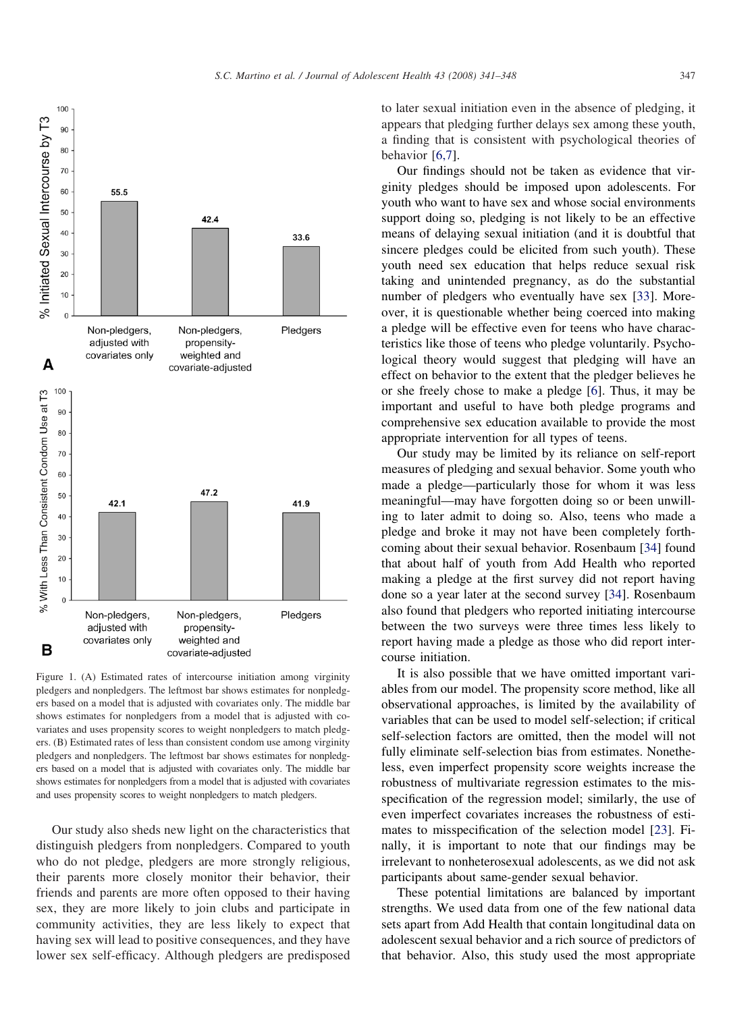<span id="page-6-0"></span>

Figure 1. (A) Estimated rates of intercourse initiation among virginity pledgers and nonpledgers. The leftmost bar shows estimates for nonpledgers based on a model that is adjusted with covariates only. The middle bar shows estimates for nonpledgers from a model that is adjusted with covariates and uses propensity scores to weight nonpledgers to match pledgers. (B) Estimated rates of less than consistent condom use among virginity pledgers and nonpledgers. The leftmost bar shows estimates for nonpledgers based on a model that is adjusted with covariates only. The middle bar shows estimates for nonpledgers from a model that is adjusted with covariates and uses propensity scores to weight nonpledgers to match pledgers.

Our study also sheds new light on the characteristics that distinguish pledgers from nonpledgers. Compared to youth who do not pledge, pledgers are more strongly religious, their parents more closely monitor their behavior, their friends and parents are more often opposed to their having sex, they are more likely to join clubs and participate in community activities, they are less likely to expect that having sex will lead to positive consequences, and they have lower sex self-efficacy. Although pledgers are predisposed to later sexual initiation even in the absence of pledging, it appears that pledging further delays sex among these youth, a finding th[at](#page-7-0) is consistent with psychological theories of behavior [6,7].

Our findings should not be taken as evidence that virginity pledges should be imposed upon adolescents. For youth who want to have sex and whose social environments support doing so, pledging is not likely to be an effective means of delaying sexual initiation (and it is doubtful that sincere pledges could be elicited from such youth). These youth need sex education that helps reduce sexual risk taking and unintended pregnancy, as do the s[ubst](#page-7-0)antial number of pledgers who eventually have sex [33]. Moreover, it is questionable whether being coerced into making a pledge will be effective even for teens who have characteristics like those of teens who pledge voluntarily. Psychological theory would suggest that pledging will have an effect on behavior to the extent that the p[led](#page-7-0)ger believes he or she freely chose to make a pledge [6]. Thus, it may be important and useful to have both pledge programs and comprehensive sex education available to provide the most appropriate intervention for all types of teens.

Our study may be limited by its reliance on self-report measures of pledging and sexual behavior. Some youth who made a pledge—particularly those for whom it was less meaningful—may have forgotten doing so or been unwilling to later admit to doing so. Also, teens who made a pledge and broke it may not have been completel[y](#page-7-0) forthcoming about their sexual behavior. Rosenbaum [34] found that about half of youth from Add Health who reported making a pledge at the first survey did not [rep](#page-7-0)ort having done so a year later at the second survey [34]. Rosenbaum also found that pledgers who reported initiating intercourse between the two surveys were three times less likely to report having made a pledge as those who did report intercourse initiation.

It is also possible that we have omitted important variables from our model. The propensity score method, like all observational approaches, is limited by the availability of variables that can be used to model self-selection; if critical self-selection factors are omitted, then the model will not fully eliminate self-selection bias from estimates. Nonetheless, even imperfect propensity score weights increase the robustness of multivariate regression estimates to the misspecification of the regression model; similarly, the use of even imperfect covariates increases the robustness of [es](#page-7-0)timates to misspecification of the selection model [23]. Finally, it is important to note that our findings may be irrelevant to nonheterosexual adolescents, as we did not ask participants about same-gender sexual behavior.

These potential limitations are balanced by important strengths. We used data from one of the few national data sets apart from Add Health that contain longitudinal data on adolescent sexual behavior and a rich source of predictors of that behavior. Also, this study used the most appropriate